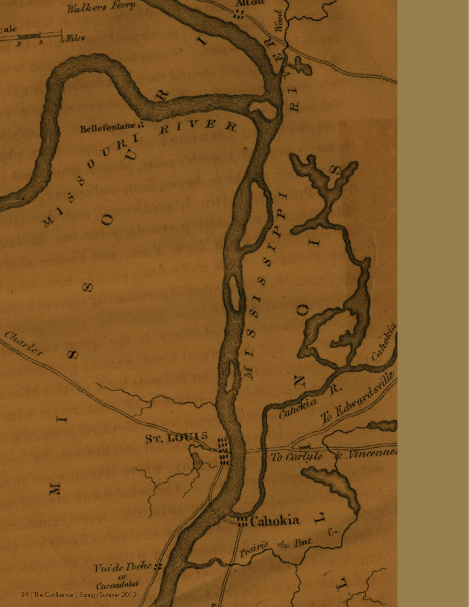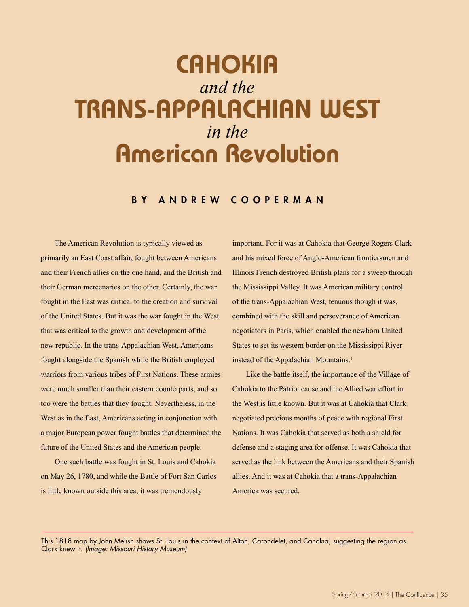# **CAHOKIA** *and the* TRANS-APPALACHIAN WEST *in the*  American Revolution

BY ANDREW COOPERMAN

The American Revolution is typically viewed as primarily an East Coast affair, fought between Americans and their French allies on the one hand, and the British and their German mercenaries on the other. Certainly, the war fought in the East was critical to the creation and survival of the United States. But it was the war fought in the West that was critical to the growth and development of the new republic. In the trans-Appalachian West, Americans fought alongside the Spanish while the British employed warriors from various tribes of First Nations. These armies were much smaller than their eastern counterparts, and so too were the battles that they fought. Nevertheless, in the West as in the East, Americans acting in conjunction with a major European power fought battles that determined the future of the United States and the American people.

One such battle was fought in St. Louis and Cahokia on May 26, 1780, and while the Battle of Fort San Carlos is little known outside this area, it was tremendously

important. For it was at Cahokia that George Rogers Clark and his mixed force of Anglo-American frontiersmen and Illinois French destroyed British plans for a sweep through the Mississippi Valley. It was American military control of the trans-Appalachian West, tenuous though it was, combined with the skill and perseverance of American negotiators in Paris, which enabled the newborn United States to set its western border on the Mississippi River instead of the Appalachian Mountains.<sup>1</sup>

Like the battle itself, the importance of the Village of Cahokia to the Patriot cause and the Allied war effort in the West is little known. But it was at Cahokia that Clark negotiated precious months of peace with regional First Nations. It was Cahokia that served as both a shield for defense and a staging area for offense. It was Cahokia that served as the link between the Americans and their Spanish allies. And it was at Cahokia that a trans-Appalachian America was secured.

This 1818 map by John Melish shows St. Louis in the context of Alton, Carondelet, and Cahokia, suggesting the region as Clark knew it. *(Image: Missouri History Museum)*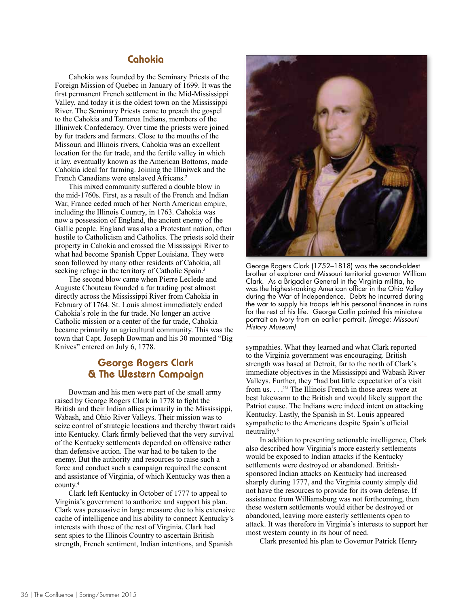#### Cahokia

Cahokia was founded by the Seminary Priests of the Foreign Mission of Quebec in January of 1699. It was the first permanent French settlement in the Mid-Mississippi Valley, and today it is the oldest town on the Mississippi River. The Seminary Priests came to preach the gospel to the Cahokia and Tamaroa Indians, members of the Illiniwek Confederacy. Over time the priests were joined by fur traders and farmers. Close to the mouths of the Missouri and Illinois rivers, Cahokia was an excellent location for the fur trade, and the fertile valley in which it lay, eventually known as the American Bottoms, made Cahokia ideal for farming. Joining the Illiniwek and the French Canadians were enslaved Africans.<sup>2</sup>

This mixed community suffered a double blow in the mid-1760s. First, as a result of the French and Indian War, France ceded much of her North American empire, including the Illinois Country, in 1763. Cahokia was now a possession of England, the ancient enemy of the Gallic people. England was also a Protestant nation, often hostile to Catholicism and Catholics. The priests sold their property in Cahokia and crossed the Mississippi River to what had become Spanish Upper Louisiana. They were soon followed by many other residents of Cahokia, all seeking refuge in the territory of Catholic Spain.<sup>3</sup>

The second blow came when Pierre Leclede and Auguste Chouteau founded a fur trading post almost directly across the Mississippi River from Cahokia in February of 1764. St. Louis almost immediately ended Cahokia's role in the fur trade. No longer an active Catholic mission or a center of the fur trade, Cahokia became primarily an agricultural community. This was the town that Capt. Joseph Bowman and his 30 mounted "Big Knives" entered on July 6, 1778.

## George Rogers Clark & The Western Campaign

Bowman and his men were part of the small army raised by George Rogers Clark in 1778 to fight the British and their Indian allies primarily in the Mississippi, Wabash, and Ohio River Valleys. Their mission was to seize control of strategic locations and thereby thwart raids into Kentucky. Clark firmly believed that the very survival of the Kentucky settlements depended on offensive rather than defensive action. The war had to be taken to the enemy. But the authority and resources to raise such a force and conduct such a campaign required the consent and assistance of Virginia, of which Kentucky was then a county.4

Clark left Kentucky in October of 1777 to appeal to Virginia's government to authorize and support his plan. Clark was persuasive in large measure due to his extensive cache of intelligence and his ability to connect Kentucky's interests with those of the rest of Virginia. Clark had sent spies to the Illinois Country to ascertain British strength, French sentiment, Indian intentions, and Spanish



George Rogers Clark (1752–1818) was the second-oldest brother of explorer and Missouri territorial governor William Clark. As a Brigadier General in the Virginia militia, he was the highest-ranking American officer in the Ohio Valley during the War of Independence. Debts he incurred during the war to supply his troops left his personal finances in ruins for the rest of his life. George Catlin painted this miniature portrait on ivory from an earlier portrait. *(Image: Missouri History Museum)*

sympathies. What they learned and what Clark reported to the Virginia government was encouraging. British strength was based at Detroit, far to the north of Clark's immediate objectives in the Mississippi and Wabash River Valleys. Further, they "had but little expectation of a visit from us. . . ."<sup>5</sup> The Illinois French in those areas were at best lukewarm to the British and would likely support the Patriot cause. The Indians were indeed intent on attacking Kentucky. Lastly, the Spanish in St. Louis appeared sympathetic to the Americans despite Spain's official neutrality.6

In addition to presenting actionable intelligence, Clark also described how Virginia's more easterly settlements would be exposed to Indian attacks if the Kentucky settlements were destroyed or abandoned. Britishsponsored Indian attacks on Kentucky had increased sharply during 1777, and the Virginia county simply did not have the resources to provide for its own defense. If assistance from Williamsburg was not forthcoming, then these western settlements would either be destroyed or abandoned, leaving more easterly settlements open to attack. It was therefore in Virginia's interests to support her most western county in its hour of need.

Clark presented his plan to Governor Patrick Henry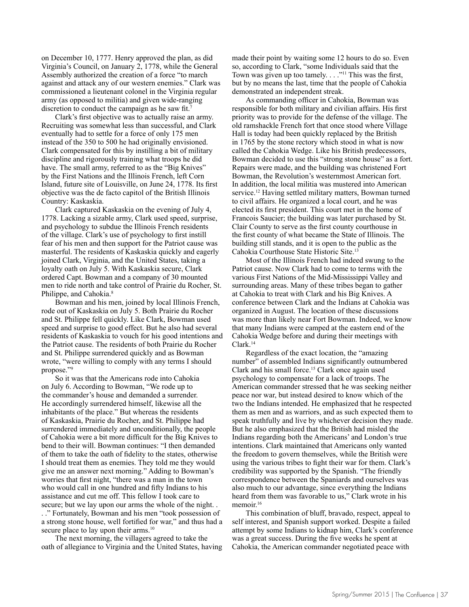on December 10, 1777. Henry approved the plan, as did Virginia's Council, on January 2, 1778, while the General Assembly authorized the creation of a force "to march against and attack any of our western enemies." Clark was commissioned a lieutenant colonel in the Virginia regular army (as opposed to militia) and given wide-ranging discretion to conduct the campaign as he saw fit.7

Clark's first objective was to actually raise an army. Recruiting was somewhat less than successful, and Clark eventually had to settle for a force of only 175 men instead of the 350 to 500 he had originally envisioned. Clark compensated for this by instilling a bit of military discipline and rigorously training what troops he did have. The small army, referred to as the "Big Knives" by the First Nations and the Illinois French, left Corn Island, future site of Louisville, on June 24, 1778. Its first objective was the de facto capitol of the British Illinois Country: Kaskaskia.

Clark captured Kaskaskia on the evening of July 4, 1778. Lacking a sizable army, Clark used speed, surprise, and psychology to subdue the Illinois French residents of the village. Clark's use of psychology to first instill fear of his men and then support for the Patriot cause was masterful. The residents of Kaskaskia quickly and eagerly joined Clark, Virginia, and the United States, taking a loyalty oath on July 5. With Kaskaskia secure, Clark ordered Capt. Bowman and a company of 30 mounted men to ride north and take control of Prairie du Rocher, St. Philippe, and Cahokia.<sup>8</sup>

Bowman and his men, joined by local Illinois French, rode out of Kaskaskia on July 5. Both Prairie du Rocher and St. Philippe fell quickly. Like Clark, Bowman used speed and surprise to good effect. But he also had several residents of Kaskaskia to vouch for his good intentions and the Patriot cause. The residents of both Prairie du Rocher and St. Philippe surrendered quickly and as Bowman wrote, "were willing to comply with any terms I should propose."<sup>9</sup>

So it was that the Americans rode into Cahokia on July 6. According to Bowman, "We rode up to the commander's house and demanded a surrender. He accordingly surrendered himself, likewise all the inhabitants of the place." But whereas the residents of Kaskaskia, Prairie du Rocher, and St. Philippe had surrendered immediately and unconditionally, the people of Cahokia were a bit more difficult for the Big Knives to bend to their will. Bowman continues: "I then demanded of them to take the oath of fidelity to the states, otherwise I should treat them as enemies. They told me they would give me an answer next morning." Adding to Bowman's worries that first night, "there was a man in the town who would call in one hundred and fifty Indians to his assistance and cut me off. This fellow I took care to secure; but we lay upon our arms the whole of the night. . . ." Fortunately, Bowman and his men "took possession of a strong stone house, well fortified for war," and thus had a secure place to lay upon their arms.<sup>10</sup>

The next morning, the villagers agreed to take the oath of allegiance to Virginia and the United States, having made their point by waiting some 12 hours to do so. Even so, according to Clark, "some Individuals said that the Town was given up too tamely. . . ."<sup>11</sup> This was the first, but by no means the last, time that the people of Cahokia demonstrated an independent streak.

As commanding officer in Cahokia, Bowman was responsible for both military and civilian affairs. His first priority was to provide for the defense of the village. The old ramshackle French fort that once stood where Village Hall is today had been quickly replaced by the British in 1765 by the stone rectory which stood in what is now called the Cahokia Wedge. Like his British predecessors, Bowman decided to use this "strong stone house" as a fort. Repairs were made, and the building was christened Fort Bowman, the Revolution's westernmost American fort. In addition, the local militia was mustered into American service.<sup>12</sup> Having settled military matters, Bowman turned to civil affairs. He organized a local court, and he was elected its first president. This court met in the home of Francois Saucier; the building was later purchased by St. Clair County to serve as the first county courthouse in the first county of what became the State of Illinois. The building still stands, and it is open to the public as the Cahokia Courthouse State Historic Site.13

Most of the Illinois French had indeed swung to the Patriot cause. Now Clark had to come to terms with the various First Nations of the Mid-Mississippi Valley and surrounding areas. Many of these tribes began to gather at Cahokia to treat with Clark and his Big Knives. A conference between Clark and the Indians at Cahokia was organized in August. The location of these discussions was more than likely near Fort Bowman. Indeed, we know that many Indians were camped at the eastern end of the Cahokia Wedge before and during their meetings with Clark.14

Regardless of the exact location, the "amazing number" of assembled Indians significantly outnumbered Clark and his small force.15 Clark once again used psychology to compensate for a lack of troops. The American commander stressed that he was seeking neither peace nor war, but instead desired to know which of the two the Indians intended. He emphasized that he respected them as men and as warriors, and as such expected them to speak truthfully and live by whichever decision they made. But he also emphasized that the British had misled the Indians regarding both the Americans' and London's true intentions. Clark maintained that Americans only wanted the freedom to govern themselves, while the British were using the various tribes to fight their war for them. Clark's credibility was supported by the Spanish. "The friendly correspondence between the Spaniards and ourselves was also much to our advantage, since everything the Indians heard from them was favorable to us," Clark wrote in his memoir.<sup>16</sup>

This combination of bluff, bravado, respect, appeal to self interest, and Spanish support worked. Despite a failed attempt by some Indians to kidnap him, Clark's conference was a great success. During the five weeks he spent at Cahokia, the American commander negotiated peace with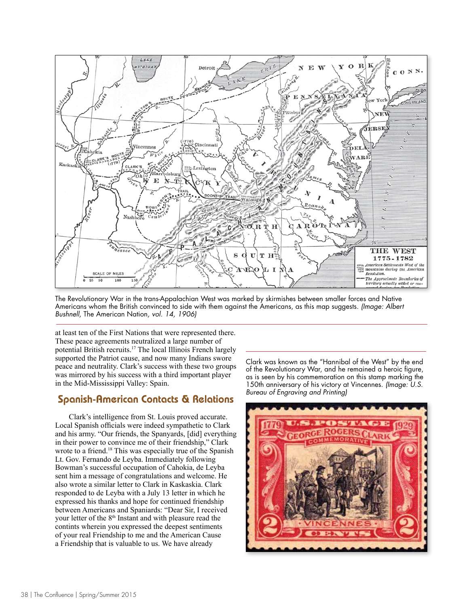

The Revolutionary War in the trans-Appalachian West was marked by skirmishes between smaller forces and Native Americans whom the British convinced to side with them against the Americans, as this map suggests. *(Image: Albert Bushnell,* The American Nation*, vol. 14, 1906)*

at least ten of the First Nations that were represented there. These peace agreements neutralized a large number of potential British recruits.17 The local Illinois French largely supported the Patriot cause, and now many Indians swore peace and neutrality. Clark's success with these two groups was mirrored by his success with a third important player in the Mid-Mississippi Valley: Spain.

## Spanish-American Contacts & Relations

Clark's intelligence from St. Louis proved accurate. Local Spanish officials were indeed sympathetic to Clark and his army. "Our friends, the Spanyards, [did] everything in their power to convince me of their friendship," Clark wrote to a friend.<sup>18</sup> This was especially true of the Spanish Lt. Gov. Fernando de Leyba. Immediately following Bowman's successful occupation of Cahokia, de Leyba sent him a message of congratulations and welcome. He also wrote a similar letter to Clark in Kaskaskia. Clark responded to de Leyba with a July 13 letter in which he expressed his thanks and hope for continued friendship between Americans and Spaniards: "Dear Sir, I received your letter of the 8<sup>th</sup> Instant and with pleasure read the contints wherein you expressed the deepest sentiments of your real Friendship to me and the American Cause a Friendship that is valuable to us. We have already

Clark was known as the "Hannibal of the West" by the end of the Revolutionary War, and he remained a heroic figure, as is seen by his commemoration on this stamp marking the 150th anniversary of his victory at Vincennes. *(Image: U.S. Bureau of Engraving and Printing)*

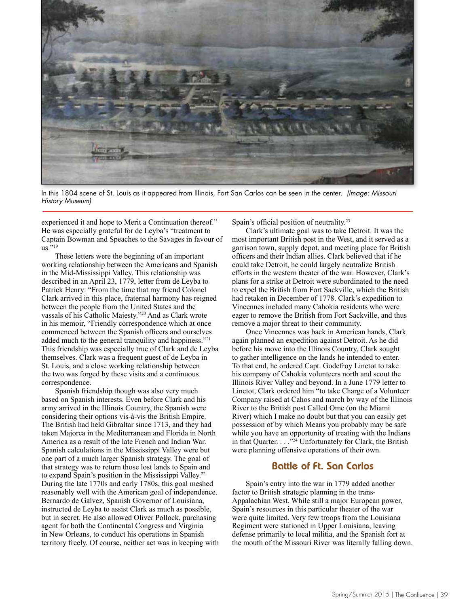

In this 1804 scene of St. Louis as it appeared from Illinois, Fort San Carlos can be seen in the center. *(Image: Missouri History Museum)*

experienced it and hope to Merit a Continuation thereof." He was especially grateful for de Leyba's "treatment to Captain Bowman and Speaches to the Savages in favour of us."19

These letters were the beginning of an important working relationship between the Americans and Spanish in the Mid-Mississippi Valley. This relationship was described in an April 23, 1779, letter from de Leyba to Patrick Henry: "From the time that my friend Colonel Clark arrived in this place, fraternal harmony has reigned between the people from the United States and the vassals of his Catholic Majesty."<sup>20</sup> And as Clark wrote in his memoir, "Friendly correspondence which at once commenced between the Spanish officers and ourselves added much to the general tranquility and happiness."<sup>21</sup> This friendship was especially true of Clark and de Leyba themselves. Clark was a frequent guest of de Leyba in St. Louis, and a close working relationship between the two was forged by these visits and a continuous correspondence.

Spanish friendship though was also very much based on Spanish interests. Even before Clark and his army arrived in the Illinois Country, the Spanish were considering their options vis-à-vis the British Empire. The British had held Gibraltar since 1713, and they had taken Majorca in the Mediterranean and Florida in North America as a result of the late French and Indian War. Spanish calculations in the Mississippi Valley were but one part of a much larger Spanish strategy. The goal of that strategy was to return those lost lands to Spain and to expand Spain's position in the Mississippi Valley.<sup>22</sup> During the late 1770s and early 1780s, this goal meshed reasonably well with the American goal of independence. Bernardo de Galvez, Spanish Governor of Louisiana, instructed de Leyba to assist Clark as much as possible, but in secret. He also allowed Oliver Pollock, purchasing agent for both the Continental Congress and Virginia in New Orleans, to conduct his operations in Spanish territory freely. Of course, neither act was in keeping with Spain's official position of neutrality.<sup>23</sup>

Clark's ultimate goal was to take Detroit. It was the most important British post in the West, and it served as a garrison town, supply depot, and meeting place for British officers and their Indian allies. Clark believed that if he could take Detroit, he could largely neutralize British efforts in the western theater of the war. However, Clark's plans for a strike at Detroit were subordinated to the need to expel the British from Fort Sackville, which the British had retaken in December of 1778. Clark's expedition to Vincennes included many Cahokia residents who were eager to remove the British from Fort Sackville, and thus remove a major threat to their community.

Once Vincennes was back in American hands, Clark again planned an expedition against Detroit. As he did before his move into the Illinois Country, Clark sought to gather intelligence on the lands he intended to enter. To that end, he ordered Capt. Godefroy Linctot to take his company of Cahokia volunteers north and scout the Illinois River Valley and beyond. In a June 1779 letter to Linctot, Clark ordered him "to take Charge of a Volunteer Company raised at Cahos and march by way of the Illinois River to the British post Called Ome (on the Miami River) which I make no doubt but that you can easily get possession of by which Means you probably may be safe while you have an opportunity of treating with the Indians in that Quarter. . . ."24 Unfortunately for Clark, the British were planning offensive operations of their own.

#### Battle of Ft. San Carlos

Spain's entry into the war in 1779 added another factor to British strategic planning in the trans-Appalachian West. While still a major European power, Spain's resources in this particular theater of the war were quite limited. Very few troops from the Louisiana Regiment were stationed in Upper Louisiana, leaving defense primarily to local militia, and the Spanish fort at the mouth of the Missouri River was literally falling down.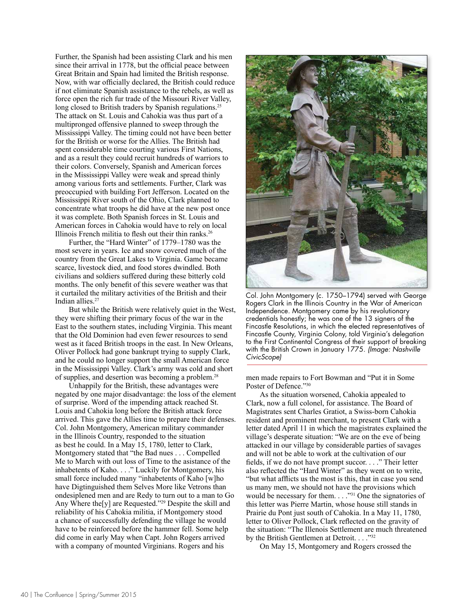Further, the Spanish had been assisting Clark and his men since their arrival in 1778, but the official peace between Great Britain and Spain had limited the British response. Now, with war officially declared, the British could reduce if not eliminate Spanish assistance to the rebels, as well as force open the rich fur trade of the Missouri River Valley, long closed to British traders by Spanish regulations.<sup>25</sup> The attack on St. Louis and Cahokia was thus part of a multipronged offensive planned to sweep through the Mississippi Valley. The timing could not have been better for the British or worse for the Allies. The British had spent considerable time courting various First Nations, and as a result they could recruit hundreds of warriors to their colors. Conversely, Spanish and American forces in the Mississippi Valley were weak and spread thinly among various forts and settlements. Further, Clark was preoccupied with building Fort Jefferson. Located on the Mississippi River south of the Ohio, Clark planned to concentrate what troops he did have at the new post once it was complete. Both Spanish forces in St. Louis and American forces in Cahokia would have to rely on local Illinois French militia to flesh out their thin ranks.26

Further, the "Hard Winter" of 1779–1780 was the most severe in years. Ice and snow covered much of the country from the Great Lakes to Virginia. Game became scarce, livestock died, and food stores dwindled. Both civilians and soldiers suffered during these bitterly cold months. The only benefit of this severe weather was that it curtailed the military activities of the British and their Indian allies.<sup>27</sup>

But while the British were relatively quiet in the West, they were shifting their primary focus of the war in the East to the southern states, including Virginia. This meant that the Old Dominion had even fewer resources to send west as it faced British troops in the east. In New Orleans, Oliver Pollock had gone bankrupt trying to supply Clark, and he could no longer support the small American force in the Mississippi Valley. Clark's army was cold and short of supplies, and desertion was becoming a problem.<sup>28</sup>

Unhappily for the British, these advantages were negated by one major disadvantage: the loss of the element of surprise. Word of the impending attack reached St. Louis and Cahokia long before the British attack force arrived. This gave the Allies time to prepare their defenses. Col. John Montgomery, American military commander in the Illinois Country, responded to the situation as best he could. In a May 15, 1780, letter to Clark, Montgomery stated that "the Bad nues . . . Compelled Me to March with out loss of Time to the asistance of the inhabetents of Kaho. . . ." Luckily for Montgomery, his small force included many "inhabetents of Kaho [w]ho have Digtinguished them Selves More like Vetrons than ondesiplened men and are Redy to turn out to a man to Go Any Where the[y] are Requested."29 Despite the skill and reliability of his Cahokia militia, if Montgomery stood a chance of successfully defending the village he would have to be reinforced before the hammer fell. Some help did come in early May when Capt. John Rogers arrived with a company of mounted Virginians. Rogers and his



Col. John Montgomery (c. 1750–1794) served with George Rogers Clark in the Illinois Country in the War of American Independence. Montgomery came by his revolutionary credentials honestly; he was one of the 13 signers of the Fincastle Resolutions, in which the elected representatives of Fincastle County, Virginia Colony, told Virginia's delegation to the First Continental Congress of their support of breaking with the British Crown in January 1775. *(Image: Nashville CivicScope)*

men made repairs to Fort Bowman and "Put it in Some Poster of Defence."30

As the situation worsened, Cahokia appealed to Clark, now a full colonel, for assistance. The Board of Magistrates sent Charles Gratiot, a Swiss-born Cahokia resident and prominent merchant, to present Clark with a letter dated April 11 in which the magistrates explained the village's desperate situation: "We are on the eve of being attacked in our village by considerable parties of savages and will not be able to work at the cultivation of our fields, if we do not have prompt succor. . . ." Their letter also reflected the "Hard Winter" as they went on to write, "but what afflicts us the most is this, that in case you send us many men, we should not have the provisions which would be necessary for them.  $\ldots$ <sup>31</sup> One the signatories of this letter was Pierre Martin, whose house still stands in Prairie du Pont just south of Cahokia. In a May 11, 1780, letter to Oliver Pollock, Clark reflected on the gravity of the situation: "The Illenois Settlement are much threatened by the British Gentlemen at Detroit. . . . "32

On May 15, Montgomery and Rogers crossed the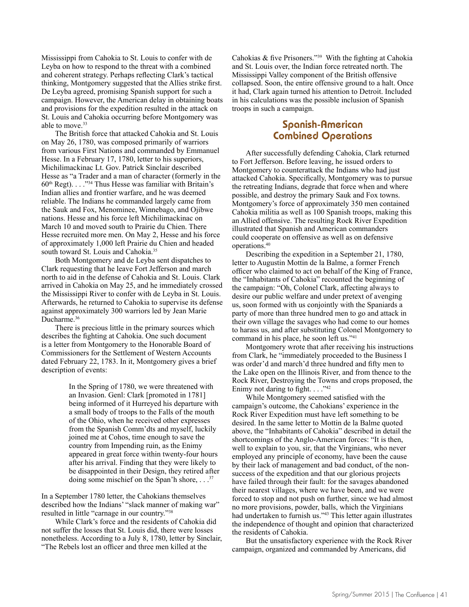Mississippi from Cahokia to St. Louis to confer with de Leyba on how to respond to the threat with a combined and coherent strategy. Perhaps reflecting Clark's tactical thinking, Montgomery suggested that the Allies strike first. De Leyba agreed, promising Spanish support for such a campaign. However, the American delay in obtaining boats and provisions for the expedition resulted in the attack on St. Louis and Cahokia occurring before Montgomery was able to move.<sup>33</sup>

The British force that attacked Cahokia and St. Louis on May 26, 1780, was composed primarily of warriors from various First Nations and commanded by Emmanuel Hesse. In a February 17, 1780, letter to his superiors, Michilimackinac Lt. Gov. Patrick Sinclair described Hesse as "a Trader and a man of character (formerly in the 60th Regt). . . ."<sup>34</sup> Thus Hesse was familiar with Britain's Indian allies and frontier warfare, and he was deemed reliable. The Indians he commanded largely came from the Sauk and Fox, Menominee, Winnebago, and Ojibwe nations. Hesse and his force left Michilimackinac on March 10 and moved south to Prairie du Chien. There Hesse recruited more men. On May 2, Hesse and his force of approximately 1,000 left Prairie du Chien and headed south toward St. Louis and Cahokia.<sup>35</sup>

Both Montgomery and de Leyba sent dispatches to Clark requesting that he leave Fort Jefferson and march north to aid in the defense of Cahokia and St. Louis. Clark arrived in Cahokia on May 25, and he immediately crossed the Mississippi River to confer with de Leyba in St. Louis. Afterwards, he returned to Cahokia to supervise its defense against approximately 300 warriors led by Jean Marie Ducharme.<sup>36</sup>

There is precious little in the primary sources which describes the fighting at Cahokia. One such document is a letter from Montgomery to the Honorable Board of Commissioners for the Settlement of Western Accounts dated February 22, 1783. In it, Montgomery gives a brief description of events:

> In the Spring of 1780, we were threatened with an Invasion. Genl: Clark [promoted in 1781] being informed of it Hurreyed his departure with a small body of troops to the Falls of the mouth of the Ohio, when he received other expresses from the Spanish Comm'dts and myself, luckily joined me at Cohos, time enough to save the country from Impending ruin, as the Enimy appeared in great force within twenty-four hours after his arrival. Finding that they were likely to be disappointed in their Design, they retired after doing some mischief on the Span'h shore,  $\ldots$ <sup>37</sup>

In a September 1780 letter, the Cahokians themselves described how the Indians' "slack manner of making war" resulted in little "carnage in our country."38

While Clark's force and the residents of Cahokia did not suffer the losses that St. Louis did, there were losses nonetheless. According to a July 8, 1780, letter by Sinclair, "The Rebels lost an officer and three men killed at the

Cahokias & five Prisoners."<sup>39</sup> With the fighting at Cahokia and St. Louis over, the Indian force retreated north. The Mississippi Valley component of the British offensive collapsed. Soon, the entire offensive ground to a halt. Once it had, Clark again turned his attention to Detroit. Included in his calculations was the possible inclusion of Spanish troops in such a campaign.

## Spanish-American Combined Operations

After successfully defending Cahokia, Clark returned to Fort Jefferson. Before leaving, he issued orders to Montgomery to counterattack the Indians who had just attacked Cahokia. Specifically, Montgomery was to pursue the retreating Indians, degrade that force when and where possible, and destroy the primary Sauk and Fox towns. Montgomery's force of approximately 350 men contained Cahokia militia as well as 100 Spanish troops, making this an Allied offensive. The resulting Rock River Expedition illustrated that Spanish and American commanders could cooperate on offensive as well as on defensive operations.40

Describing the expedition in a September 21, 1780, letter to Augustin Mottin de la Balme, a former French officer who claimed to act on behalf of the King of France, the "Inhabitants of Cahokia" recounted the beginning of the campaign: "Oh, Colonel Clark, affecting always to desire our public welfare and under pretext of avenging us, soon formed with us conjointly with the Spaniards a party of more than three hundred men to go and attack in their own village the savages who had come to our homes to harass us, and after substituting Colonel Montgomery to command in his place, he soon left us."<sup>41</sup>

Montgomery wrote that after receiving his instructions from Clark, he "immediately proceeded to the Business I was order'd and march'd three hundred and fifty men to the Lake open on the Illinois River, and from thence to the Rock River, Destroying the Towns and crops proposed, the Enimy not daring to fight.  $\ldots$ ."<sup>42</sup>

While Montgomery seemed satisfied with the campaign's outcome, the Cahokians' experience in the Rock River Expedition must have left something to be desired. In the same letter to Mottin de la Balme quoted above, the "Inhabitants of Cahokia" described in detail the shortcomings of the Anglo-American forces: "It is then, well to explain to you, sir, that the Virginians, who never employed any principle of economy, have been the cause by their lack of management and bad conduct, of the nonsuccess of the expedition and that our glorious projects have failed through their fault: for the savages abandoned their nearest villages, where we have been, and we were forced to stop and not push on further, since we had almost no more provisions, powder, balls, which the Virginians had undertaken to furnish us."<sup>43</sup> This letter again illustrates the independence of thought and opinion that characterized the residents of Cahokia.

But the unsatisfactory experience with the Rock River campaign, organized and commanded by Americans, did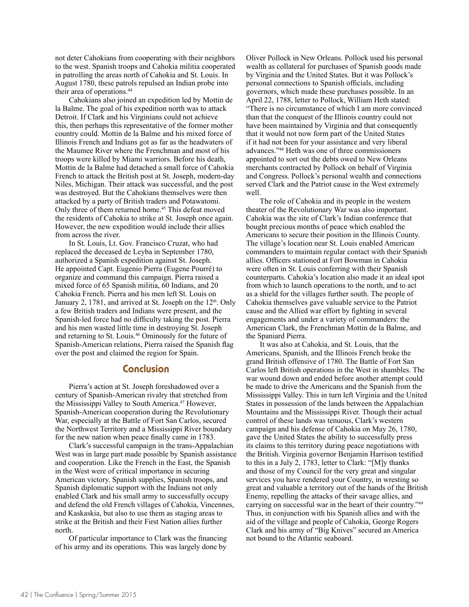not deter Cahokians from cooperating with their neighbors to the west. Spanish troops and Cahokia militia cooperated in patrolling the areas north of Cahokia and St. Louis. In August 1780, these patrols repulsed an Indian probe into their area of operations.44

Cahokians also joined an expedition led by Mottin de la Balme. The goal of his expedition north was to attack Detroit. If Clark and his Virginians could not achieve this, then perhaps this representative of the former mother country could. Mottin de la Balme and his mixed force of Illinois French and Indians got as far as the headwaters of the Maumee River where the Frenchman and most of his troops were killed by Miami warriors. Before his death, Mottin de la Balme had detached a small force of Cahokia French to attack the British post at St. Joseph, modern-day Niles, Michigan. Their attack was successful, and the post was destroyed. But the Cahokians themselves were then attacked by a party of British traders and Potawatomi. Only three of them returned home.45 This defeat moved the residents of Cahokia to strike at St. Joseph once again. However, the new expedition would include their allies from across the river.

In St. Louis, Lt. Gov. Francisco Cruzat, who had replaced the deceased de Leyba in September 1780, authorized a Spanish expedition against St. Joseph. He appointed Capt. Eugenio Pierra (Eugene Pourré) to organize and command this campaign. Pierra raised a mixed force of 65 Spanish militia, 60 Indians, and 20 Cahokia French. Pierra and his men left St. Louis on January 2, 1781, and arrived at St. Joseph on the 12<sup>th</sup>. Only a few British traders and Indians were present, and the Spanish-led force had no difficulty taking the post. Pierra and his men wasted little time in destroying St. Joseph and returning to St. Louis.46 Ominously for the future of Spanish-American relations, Pierra raised the Spanish flag over the post and claimed the region for Spain.

#### Conclusion

Pierra's action at St. Joseph foreshadowed over a century of Spanish-American rivalry that stretched from the Mississippi Valley to South America.<sup>47</sup> However, Spanish-American cooperation during the Revolutionary War, especially at the Battle of Fort San Carlos, secured the Northwest Territory and a Mississippi River boundary for the new nation when peace finally came in 1783.

Clark's successful campaign in the trans-Appalachian West was in large part made possible by Spanish assistance and cooperation. Like the French in the East, the Spanish in the West were of critical importance in securing American victory. Spanish supplies, Spanish troops, and Spanish diplomatic support with the Indians not only enabled Clark and his small army to successfully occupy and defend the old French villages of Cahokia, Vincennes, and Kaskaskia, but also to use them as staging areas to strike at the British and their First Nation allies further north.

Of particular importance to Clark was the financing of his army and its operations. This was largely done by

Oliver Pollock in New Orleans. Pollock used his personal wealth as collateral for purchases of Spanish goods made by Virginia and the United States. But it was Pollock's personal connections to Spanish officials, including governors, which made these purchases possible. In an April 22, 1788, letter to Pollock, William Heth stated: "There is no circumstance of which I am more convinced than that the conquest of the Illinois country could not have been maintained by Virginia and that consequently that it would not now form part of the United States if it had not been for your assistance and very liberal advances."48 Heth was one of three commissioners appointed to sort out the debts owed to New Orleans merchants contracted by Pollock on behalf of Virginia and Congress. Pollock's personal wealth and connections served Clark and the Patriot cause in the West extremely well.

The role of Cahokia and its people in the western theater of the Revolutionary War was also important. Cahokia was the site of Clark's Indian conference that bought precious months of peace which enabled the Americans to secure their position in the Illinois County. The village's location near St. Louis enabled American commanders to maintain regular contact with their Spanish allies. Officers stationed at Fort Bowman in Cahokia were often in St. Louis conferring with their Spanish counterparts. Cahokia's location also made it an ideal spot from which to launch operations to the north, and to act as a shield for the villages further south. The people of Cahokia themselves gave valuable service to the Patriot cause and the Allied war effort by fighting in several engagements and under a variety of commanders: the American Clark, the Frenchman Mottin de la Balme, and the Spaniard Pierra.

It was also at Cahokia, and St. Louis, that the Americans, Spanish, and the Illinois French broke the grand British offensive of 1780. The Battle of Fort San Carlos left British operations in the West in shambles. The war wound down and ended before another attempt could be made to drive the Americans and the Spanish from the Mississippi Valley. This in turn left Virginia and the United States in possession of the lands between the Appalachian Mountains and the Mississippi River. Though their actual control of these lands was tenuous, Clark's western campaign and his defense of Cahokia on May 26, 1780, gave the United States the ability to successfully press its claims to this territory during peace negotiations with the British. Virginia governor Benjamin Harrison testified to this in a July 2, 1783, letter to Clark: "[M]y thanks and those of my Council for the very great and singular services you have rendered your Country, in wresting so great and valuable a territory out of the hands of the British Enemy, repelling the attacks of their savage allies, and carrying on successful war in the heart of their country."<sup>49</sup> Thus, in conjunction with his Spanish allies and with the aid of the village and people of Cahokia, George Rogers Clark and his army of "Big Knives" secured an America not bound to the Atlantic seaboard.